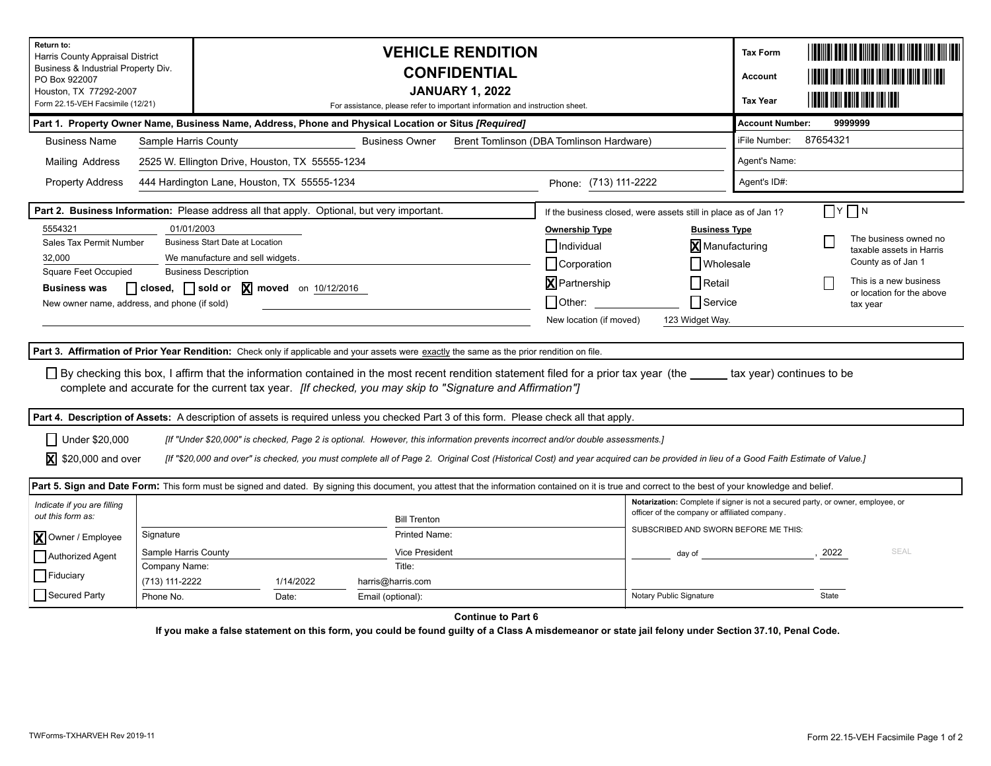| Return to:<br>Harris County Appraisal District<br>Business & Industrial Property Div.<br>PO Box 922007<br>Houston, TX 77292-2007<br>Form 22.15-VEH Facsimile (12/21) |                               | <b>VEHICLE RENDITION</b><br><b>CONFIDENTIAL</b><br><b>JANUARY 1, 2022</b><br>For assistance, please refer to important information and instruction sheet. |                                                                                                                                                                                                                                                                                     |                         |                                                                                                                                  |                                                                                                                                                                                                                                |                    |                                                   |  |
|----------------------------------------------------------------------------------------------------------------------------------------------------------------------|-------------------------------|-----------------------------------------------------------------------------------------------------------------------------------------------------------|-------------------------------------------------------------------------------------------------------------------------------------------------------------------------------------------------------------------------------------------------------------------------------------|-------------------------|----------------------------------------------------------------------------------------------------------------------------------|--------------------------------------------------------------------------------------------------------------------------------------------------------------------------------------------------------------------------------|--------------------|---------------------------------------------------|--|
| Part 1. Property Owner Name, Business Name, Address, Phone and Physical Location or Situs [Required]                                                                 |                               | <b>Account Number:</b><br>9999999                                                                                                                         |                                                                                                                                                                                                                                                                                     |                         |                                                                                                                                  |                                                                                                                                                                                                                                |                    |                                                   |  |
| <b>Business Name</b>                                                                                                                                                 | Sample Harris County          |                                                                                                                                                           | Brent Tomlinson (DBA Tomlinson Hardware)                                                                                                                                                                                                                                            | iFile Number:           | 87654321                                                                                                                         |                                                                                                                                                                                                                                |                    |                                                   |  |
| Mailing Address                                                                                                                                                      |                               | 2525 W. Ellington Drive, Houston, TX 55555-1234                                                                                                           |                                                                                                                                                                                                                                                                                     | Agent's Name:           |                                                                                                                                  |                                                                                                                                                                                                                                |                    |                                                   |  |
| <b>Property Address</b>                                                                                                                                              |                               | 444 Hardington Lane, Houston, TX 55555-1234                                                                                                               |                                                                                                                                                                                                                                                                                     | Phone: (713) 111-2222   |                                                                                                                                  | Agent's ID#:                                                                                                                                                                                                                   |                    |                                                   |  |
| Part 2. Business Information: Please address all that apply. Optional, but very important.                                                                           |                               | If the business closed, were assets still in place as of Jan 1?                                                                                           | א∏ ץ                                                                                                                                                                                                                                                                                |                         |                                                                                                                                  |                                                                                                                                                                                                                                |                    |                                                   |  |
| 5554321                                                                                                                                                              | 01/01/2003                    |                                                                                                                                                           |                                                                                                                                                                                                                                                                                     | <b>Ownership Type</b>   | <b>Business Type</b>                                                                                                             |                                                                                                                                                                                                                                |                    |                                                   |  |
| Sales Tax Permit Number                                                                                                                                              |                               | <b>Business Start Date at Location</b>                                                                                                                    |                                                                                                                                                                                                                                                                                     | Individual              | <b>X</b> Manufacturing                                                                                                           |                                                                                                                                                                                                                                |                    | The business owned no<br>taxable assets in Harris |  |
| 32.000                                                                                                                                                               |                               | We manufacture and sell widgets.                                                                                                                          |                                                                                                                                                                                                                                                                                     | Corporation             | Wholesale                                                                                                                        |                                                                                                                                                                                                                                | County as of Jan 1 |                                                   |  |
| Square Feet Occupied                                                                                                                                                 |                               | <b>Business Description</b>                                                                                                                               |                                                                                                                                                                                                                                                                                     | <b>X</b> Partnership    | Retail                                                                                                                           |                                                                                                                                                                                                                                |                    | This is a new business                            |  |
| <b>Business was</b>                                                                                                                                                  | $\Box$ closed, $\Box$ sold or | $\overline{\mathbf{X}}$ moved on 10/12/2016                                                                                                               |                                                                                                                                                                                                                                                                                     |                         |                                                                                                                                  |                                                                                                                                                                                                                                |                    | or location for the above                         |  |
| New owner name, address, and phone (if sold)                                                                                                                         |                               |                                                                                                                                                           |                                                                                                                                                                                                                                                                                     | $\bigcup$ Other:        | □Service<br>tax year                                                                                                             |                                                                                                                                                                                                                                |                    |                                                   |  |
|                                                                                                                                                                      |                               |                                                                                                                                                           |                                                                                                                                                                                                                                                                                     | New location (if moved) | 123 Widget Way.                                                                                                                  |                                                                                                                                                                                                                                |                    |                                                   |  |
|                                                                                                                                                                      |                               |                                                                                                                                                           | Part 3. Affirmation of Prior Year Rendition: Check only if applicable and your assets were exactly the same as the prior rendition on file.                                                                                                                                         |                         |                                                                                                                                  |                                                                                                                                                                                                                                |                    |                                                   |  |
|                                                                                                                                                                      |                               |                                                                                                                                                           | □ By checking this box, I affirm that the information contained in the most recent rendition statement filed for a prior tax year (the _____ tax year) continues to be<br>complete and accurate for the current tax year. [If checked, you may skip to "Signature and Affirmation"] |                         |                                                                                                                                  |                                                                                                                                                                                                                                |                    |                                                   |  |
|                                                                                                                                                                      |                               |                                                                                                                                                           | Part 4. Description of Assets: A description of assets is required unless you checked Part 3 of this form. Please check all that apply.                                                                                                                                             |                         |                                                                                                                                  |                                                                                                                                                                                                                                |                    |                                                   |  |
| Under \$20,000                                                                                                                                                       |                               |                                                                                                                                                           | [If "Under \$20,000" is checked, Page 2 is optional. However, this information prevents incorrect and/or double assessments.]                                                                                                                                                       |                         |                                                                                                                                  |                                                                                                                                                                                                                                |                    |                                                   |  |
| ⊠<br>\$20,000 and over                                                                                                                                               |                               |                                                                                                                                                           | [If "\$20,000 and over" is checked, you must complete all of Page 2. Original Cost (Historical Cost) and year acquired can be provided in lieu of a Good Faith Estimate of Value.]                                                                                                  |                         |                                                                                                                                  |                                                                                                                                                                                                                                |                    |                                                   |  |
|                                                                                                                                                                      |                               |                                                                                                                                                           | Part 5. Sign and Date Form: This form must be signed and dated. By signing this document, you attest that the information contained on it is true and correct to the best of your knowledge and belief.                                                                             |                         |                                                                                                                                  |                                                                                                                                                                                                                                |                    |                                                   |  |
| Indicate if you are filling<br>out this form as:                                                                                                                     |                               |                                                                                                                                                           | <b>Bill Trenton</b>                                                                                                                                                                                                                                                                 |                         | Notarization: Complete if signer is not a secured party, or owner, employee, or<br>officer of the company or affiliated company. |                                                                                                                                                                                                                                |                    |                                                   |  |
| <b>X</b> Owner / Employee                                                                                                                                            | Signature                     |                                                                                                                                                           | Printed Name:                                                                                                                                                                                                                                                                       |                         | SUBSCRIBED AND SWORN BEFORE ME THIS:                                                                                             |                                                                                                                                                                                                                                |                    |                                                   |  |
|                                                                                                                                                                      | Sample Harris County          |                                                                                                                                                           | <b>Vice President</b>                                                                                                                                                                                                                                                               |                         |                                                                                                                                  | day of the contract of the contract of the contract of the contract of the contract of the contract of the contract of the contract of the contract of the contract of the contract of the contract of the contract of the con | .2022              | SEAL                                              |  |
| Authorized Agent                                                                                                                                                     | Company Name:                 |                                                                                                                                                           | Title:                                                                                                                                                                                                                                                                              |                         |                                                                                                                                  |                                                                                                                                                                                                                                |                    |                                                   |  |
| Fiduciary                                                                                                                                                            | (713) 111-2222                | 1/14/2022                                                                                                                                                 | harris@harris.com                                                                                                                                                                                                                                                                   |                         |                                                                                                                                  |                                                                                                                                                                                                                                |                    |                                                   |  |
| Secured Party                                                                                                                                                        | Phone No.                     | Date:                                                                                                                                                     | Email (optional):                                                                                                                                                                                                                                                                   |                         | Notary Public Signature                                                                                                          |                                                                                                                                                                                                                                | State              |                                                   |  |
|                                                                                                                                                                      |                               |                                                                                                                                                           | <b>Continue to Part 6</b>                                                                                                                                                                                                                                                           |                         |                                                                                                                                  |                                                                                                                                                                                                                                |                    |                                                   |  |

**If you make a false statement on this form, you could be found guilty of a Class A misdemeanor or state jail felony under Section 37.10, Penal Code.**